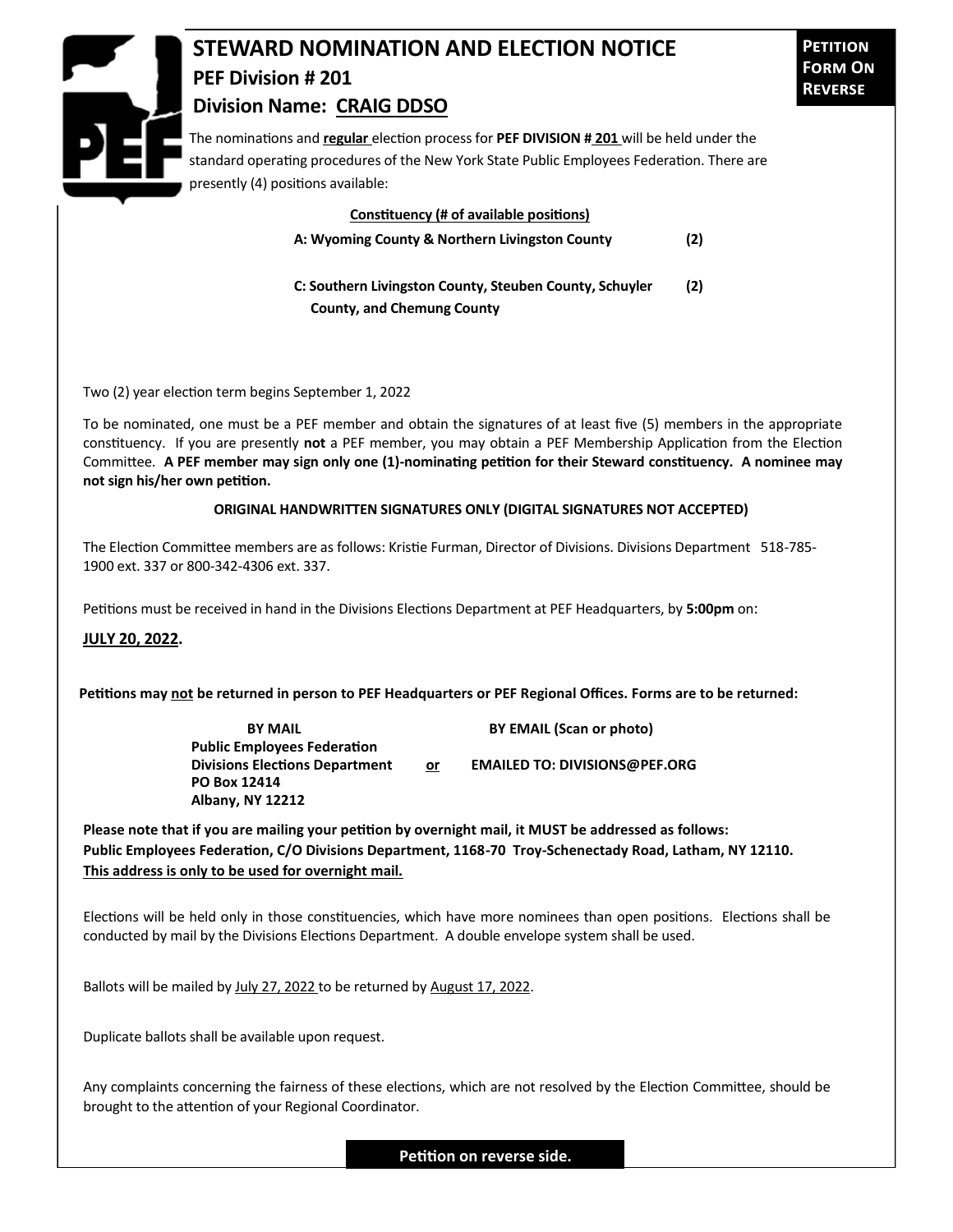

The nominations and **regular** election process for **PEF DIVISION # 201** will be held under the standard operating procedures of the New York State Public Employees Federation. There are presently (4) positions available:

## **Constituency (# of available positions)**

**A: Wyoming County & Northern Livingston County (2)** 

**C: Southern Livingston County, Steuben County, Schuyler (2) County, and Chemung County**

Two (2) year election term begins September 1, 2022

To be nominated, one must be a PEF member and obtain the signatures of at least five (5) members in the appropriate constituency. If you are presently **not** a PEF member, you may obtain a PEF Membership Application from the Election Committee. **A PEF member may sign only one (1)-nominating petition for their Steward constituency. A nominee may not sign his/her own petition.**

## **ORIGINAL HANDWRITTEN SIGNATURES ONLY (DIGITAL SIGNATURES NOT ACCEPTED)**

The Election Committee members are as follows: Kristie Furman, Director of Divisions. Divisions Department 518-785- 1900 ext. 337 or 800-342-4306 ext. 337.

Petitions must be received in hand in the Divisions Elections Department at PEF Headquarters, by **5:00pm** on:

## **JULY 20, 2022.**

**Petitions may not be returned in person to PEF Headquarters or PEF Regional Offices. Forms are to be returned:**

**Public Employees Federation PO Box 12414 Albany, NY 12212**

**BY MAIL BY EMAIL (Scan or photo)** 

**Divisions Elections Department or EMAILED TO: DIVISIONS@PEF.ORG**

**Please note that if you are mailing your petition by overnight mail, it MUST be addressed as follows: Public Employees Federation, C/O Divisions Department, 1168-70 Troy-Schenectady Road, Latham, NY 12110. This address is only to be used for overnight mail.**

Elections will be held only in those constituencies, which have more nominees than open positions. Elections shall be conducted by mail by the Divisions Elections Department. A double envelope system shall be used.

Ballots will be mailed by July 27, 2022 to be returned by August 17, 2022.

Duplicate ballots shall be available upon request.

Any complaints concerning the fairness of these elections, which are not resolved by the Election Committee, should be brought to the attention of your Regional Coordinator.

**Petition on reverse side.**